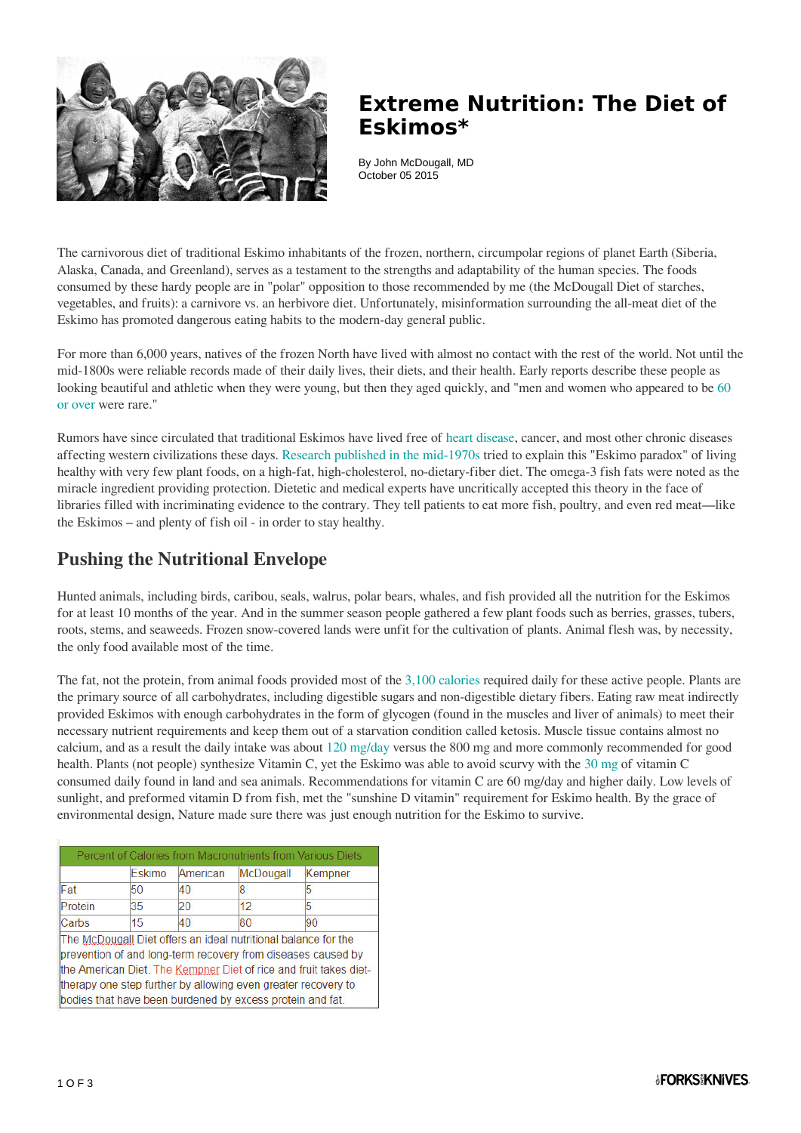

## **Extreme Nutrition: The Diet of Eskimos\***

By John McDougall, MD October 05 2015

The carnivorous diet of traditional Eskimo inhabitants of the frozen, northern, circumpolar regions of planet Earth (Siberia, Alaska, Canada, and Greenland), serves as a testament to the strengths and adaptability of the human species. The foods consumed by these hardy people are in "polar" opposition to those recommended by me (the McDougall Diet of starches, vegetables, and fruits): a carnivore vs. an herbivore diet. Unfortunately, misinformation surrounding the all-meat diet of the Eskimo has promoted dangerous eating habits to the modern-day general public.

For more than 6,000 years, natives of the frozen North have lived with almost no contact with the rest of the world. Not until the mid-1800s were reliable records made of their daily lives, their diets, and their health. Early reports describe these people as looking beautiful and athletic when they were young, but then they aged quickly, and "men and women who appeared to be [60](http://www.sciencemag.org/content/127/3288/16.extract) [or over](http://www.sciencemag.org/content/127/3288/16.extract) were rare."

Rumors have since circulated that traditional Eskimos have lived free of [heart disease,](https://www.forksoverknives.com/wellness/heart-disease-diet-prevention/) cancer, and most other chronic diseases affecting western civilizations these days. [Research published in the mid-1970s](http://ajcn.nutrition.org/content/28/9/958.full.pdf+html) tried to explain this "Eskimo paradox" of living healthy with very few plant foods, on a high-fat, high-cholesterol, no-dietary-fiber diet. The omega-3 fish fats were noted as the miracle ingredient providing protection. Dietetic and medical experts have uncritically accepted this theory in the face of libraries filled with incriminating evidence to the contrary. They tell patients to eat more fish, poultry, and even red meat—like the Eskimos – and plenty of fish oil - in order to stay healthy.

### **Pushing the Nutritional Envelope**

Hunted animals, including birds, caribou, seals, walrus, polar bears, whales, and fish provided all the nutrition for the Eskimos for at least 10 months of the year. And in the summer season people gathered a few plant foods such as berries, grasses, tubers, roots, stems, and seaweeds. Frozen snow-covered lands were unfit for the cultivation of plants. Animal flesh was, by necessity, the only food available most of the time.

The fat, not the protein, from animal foods provided most of the [3,100 calories](http://jn.nutrition.org/content/53/4/575.full.pdf) required daily for these active people. Plants are the primary source of all carbohydrates, including digestible sugars and non-digestible dietary fibers. Eating raw meat indirectly provided Eskimos with enough carbohydrates in the form of glycogen (found in the muscles and liver of animals) to meet their necessary nutrient requirements and keep them out of a starvation condition called ketosis. Muscle tissue contains almost no calcium, and as a result the daily intake was about [120 mg/day](http://www.ncbi.nlm.nih.gov/pmc/articles/PMC191268/pdf/20030916s00007p542.pdf) versus the 800 mg and more commonly recommended for good health. Plants (not people) synthesize Vitamin C, yet the Eskimo was able to avoid scurvy with the [30 mg](http://pubs.aina.ucalgary.ca/arctic/Arctic32-2-135.pdf) of vitamin C consumed daily found in land and sea animals. Recommendations for vitamin C are 60 mg/day and higher daily. Low levels of sunlight, and preformed vitamin D from fish, met the "sunshine D vitamin" requirement for Eskimo health. By the grace of environmental design, Nature made sure there was just enough nutrition for the Eskimo to survive.

|         | Eskimo | American | McDougall                                                                                                                      | Kempner                                                           |
|---------|--------|----------|--------------------------------------------------------------------------------------------------------------------------------|-------------------------------------------------------------------|
| Fat     | 50     | 40       | R                                                                                                                              | 5                                                                 |
| Protein | 35     | 20       | 12                                                                                                                             | 5                                                                 |
| Carbs   | 15     | 40       | 80                                                                                                                             | 90                                                                |
|         |        |          | The McDougall Diet offers an ideal nutritional balance for the<br>prevention of and long-term recovery from diseases caused by | the American Diet. The Kempner Diet of rice and fruit takes diet- |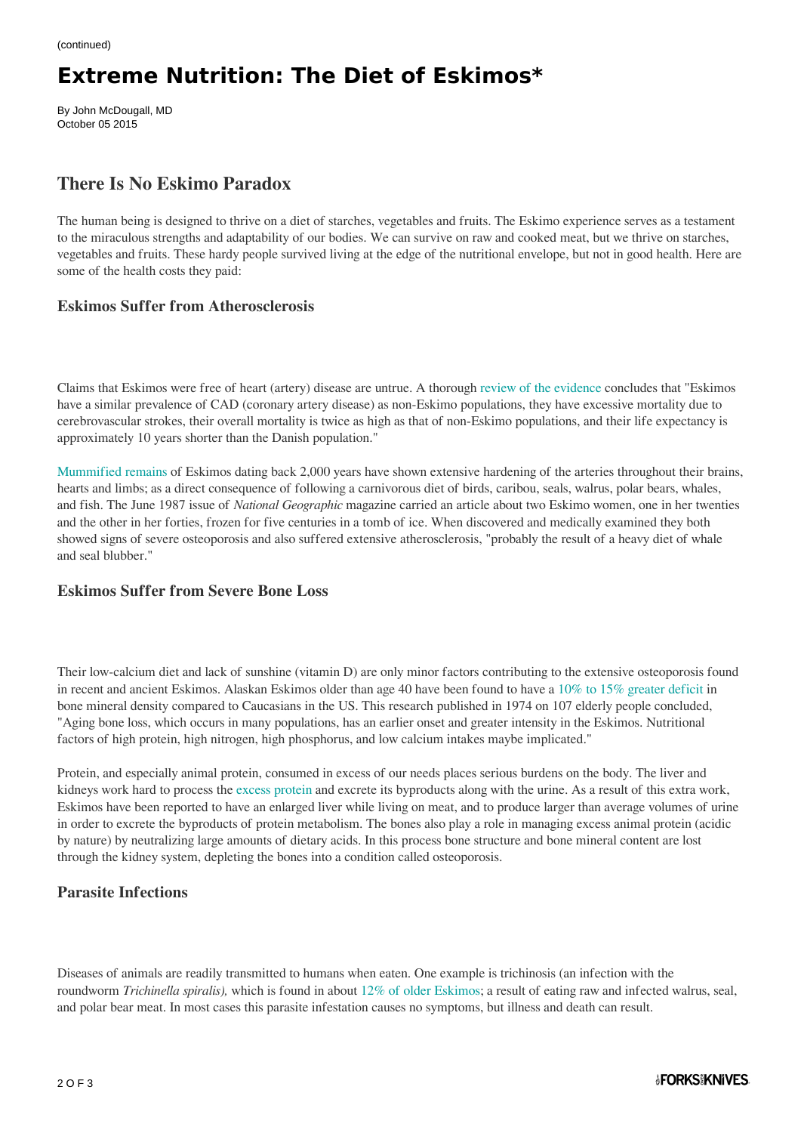# **Extreme Nutrition: The Diet of Eskimos\***

By John McDougall, MD October 05 2015

### **There Is No Eskimo Paradox**

The human being is designed to thrive on a diet of starches, vegetables and fruits. The Eskimo experience serves as a testament to the miraculous strengths and adaptability of our bodies. We can survive on raw and cooked meat, but we thrive on starches, vegetables and fruits. These hardy people survived living at the edge of the nutritional envelope, but not in good health. Here are some of the health costs they paid:

#### **Eskimos Suffer from Atherosclerosis**

Claims that Eskimos were free of heart (artery) disease are untrue. A thorough [review of the evidence c](http://ottawa.ctvnews.ca/polopoly_fs/1.1814937!/httpFile/file.pdf)oncludes that "Eskimos have a similar prevalence of CAD (coronary artery disease) as non-Eskimo populations, they have excessive mortality due to cerebrovascular strokes, their overall mortality is twice as high as that of non-Eskimo populations, and their life expectancy is approximately 10 years shorter than the Danish population."

[Mummified remains](http://www.ncbi.nlm.nih.gov/pubmed/23489753) of Eskimos dating back 2,000 years have shown extensive hardening of the arteries throughout their brains, hearts and limbs; as a direct consequence of following a carnivorous diet of birds, caribou, seals, walrus, polar bears, whales, and fish. The June 1987 issue of *National Geographic* magazine carried an article about two Eskimo women, one in her twenties and the other in her forties, frozen for five centuries in a tomb of ice. When discovered and medically examined they both showed signs of severe osteoporosis and also suffered extensive atherosclerosis, "probably the result of a heavy diet of whale and seal blubber."

#### **Eskimos Suffer from Severe Bone Loss**

Their low-calcium diet and lack of sunshine (vitamin D) are only minor factors contributing to the extensive osteoporosis found in recent and ancient Eskimos. Alaskan Eskimos older than age 40 have been found to have a [10% to 15% greater deficit](http://ajcn.nutrition.org/content/27/9/916.full.pdf) in bone mineral density compared to Caucasians in the US. This research published in 1974 on 107 elderly people concluded, "Aging bone loss, which occurs in many populations, has an earlier onset and greater intensity in the Eskimos. Nutritional factors of high protein, high nitrogen, high phosphorus, and low calcium intakes maybe implicated."

Protein, and especially animal protein, consumed in excess of our needs places serious burdens on the body. The liver and kidneys work hard to process the [excess protein](https://jasn.asnjournals.org/content/31/8/1667) and excrete its byproducts along with the urine. As a result of this extra work, Eskimos have been reported to have an enlarged liver while living on meat, and to produce larger than average volumes of urine in order to excrete the byproducts of protein metabolism. The bones also play a role in managing excess animal protein (acidic by nature) by neutralizing large amounts of dietary acids. In this process bone structure and bone mineral content are lost through the kidney system, depleting the bones into a condition called osteoporosis.

#### **Parasite Infections**

Diseases of animals are readily transmitted to humans when eaten. One example is trichinosis (an infection with the roundworm *Trichinella spiralis),* which is found in about [12% of older Eskimos](http://www.ncbi.nlm.nih.gov/pubmed/20144253); a result of eating raw and infected walrus, seal, and polar bear meat. In most cases this parasite infestation causes no symptoms, but illness and death can result.